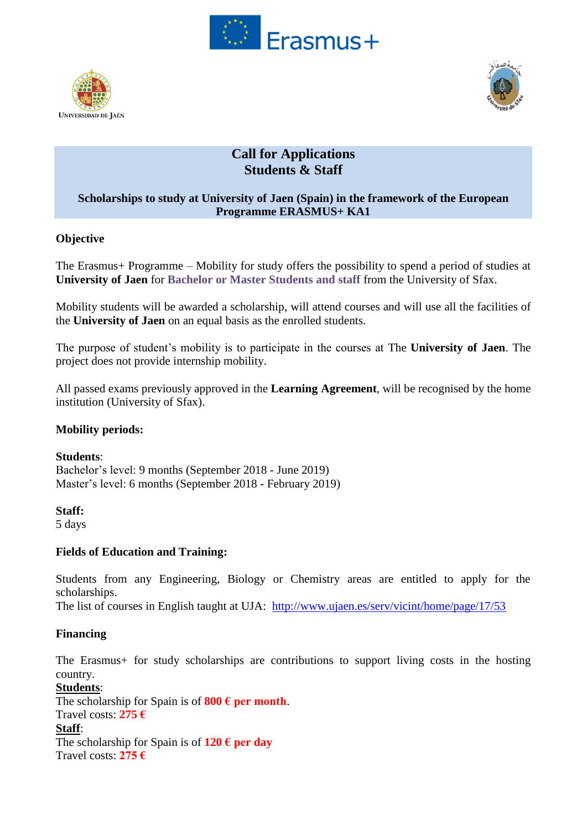





# **Call for Applications Students & Staff**

### **Scholarships to study at University of Jaen (Spain) in the framework of the European Programme ERASMUS+ KA1**

### **Objective**

The Erasmus+ Programme – Mobility for study offers the possibility to spend a period of studies at **University of Jaen** for **Bachelor or Master Students and staff** from the University of Sfax.

Mobility students will be awarded a scholarship, will attend courses and will use all the facilities of the **University of Jaen** on an equal basis as the enrolled students.

The purpose of student's mobility is to participate in the courses at The **University of Jaen**. The project does not provide internship mobility.

All passed exams previously approved in the **Learning Agreement**, will be recognised by the home institution (University of Sfax).

### **Mobility periods:**

**Students**: Bachelor's level: 9 months (September 2018 - June 2019) Master's level: 6 months (September 2018 - February 2019)

### **Staff:**

5 days

### **Fields of Education and Training:**

Students from any Engineering, Biology or Chemistry areas are entitled to apply for the scholarships.

The list of courses in English taught at UJA: <http://www.ujaen.es/serv/vicint/home/page/17/53>

### **Financing**

The Erasmus+ for study scholarships are contributions to support living costs in the hosting country.

**Students**: The scholarship for Spain is of  $800 \text{ } \in \text{per month.}$ Travel costs: **275 € Staff**: The scholarship for Spain is of  $120 \text{ } \in \text{per day}$ Travel costs: **275 €**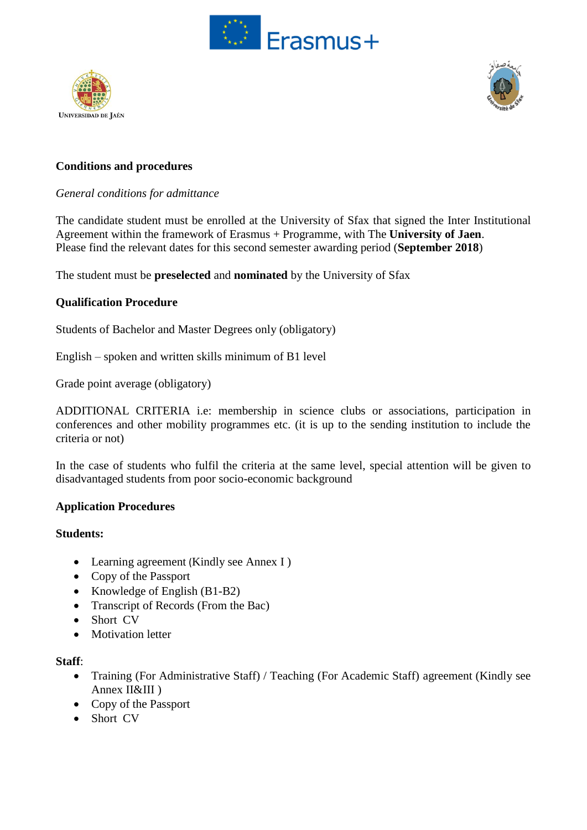





### **Conditions and procedures**

#### *General conditions for admittance*

The candidate student must be enrolled at the University of Sfax that signed the Inter Institutional Agreement within the framework of Erasmus + Programme, with The **University of Jaen**. Please find the relevant dates for this second semester awarding period (**September 2018**)

The student must be **preselected** and **nominated** by the University of Sfax

#### **Qualification Procedure**

Students of Bachelor and Master Degrees only (obligatory)

English – spoken and written skills minimum of B1 level

Grade point average (obligatory)

ADDITIONAL CRITERIA i.e: membership in science clubs or associations, participation in conferences and other mobility programmes etc. (it is up to the sending institution to include the criteria or not)

In the case of students who fulfil the criteria at the same level, special attention will be given to disadvantaged students from poor socio-economic background

#### **Application Procedures**

#### **Students:**

- Learning agreement (Kindly see Annex I)
- Copy of the Passport
- Knowledge of English  $(B1-B2)$
- Transcript of Records (From the Bac)
- Short CV
- Motivation letter

#### **Staff**:

- Training (For Administrative Staff) / Teaching (For Academic Staff) agreement (Kindly see Annex II&III )
- Copy of the Passport
- Short CV